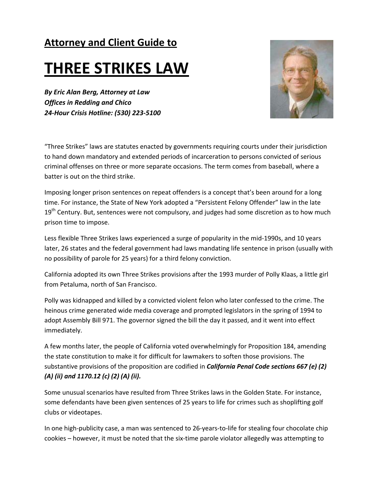## **Attorney and Client Guide to**

# **THREE STRIKES LAW**

*By Eric Alan Berg, Attorney at Law Offices in Redding and Chico 24‐Hour Crisis Hotline: (530) 223‐5100* 



"Three Strikes" laws are statutes enacted by governments requiring courts under their jurisdiction to hand down mandatory and extended periods of incarceration to persons convicted of serious criminal offenses on three or more separate occasions. The term comes from baseball, where a batter is out on the third strike.

Imposing longer prison sentences on repeat offenders is a concept that's been around for a long time. For instance, the State of New York adopted a "Persistent Felony Offender" law in the late  $19<sup>th</sup>$  Century. But, sentences were not compulsory, and judges had some discretion as to how much prison time to impose.

Less flexible Three Strikes laws experienced a surge of popularity in the mid‐1990s, and 10 years later, 26 states and the federal government had laws mandating life sentence in prison (usually with no possibility of parole for 25 years) for a third felony conviction.

California adopted its own Three Strikes provisions after the 1993 murder of Polly Klaas, a little girl from Petaluma, north of San Francisco.

Polly was kidnapped and killed by a convicted violent felon who later confessed to the crime. The heinous crime generated wide media coverage and prompted legislators in the spring of 1994 to adopt Assembly Bill 971. The governor signed the bill the day it passed, and it went into effect immediately.

A few months later, the people of California voted overwhelmingly for Proposition 184, amending the state constitution to make it for difficult for lawmakers to soften those provisions. The substantive provisions of the proposition are codified in *California Penal Code sections 667 (e) (2) (A) (ii) and 1170.12 (c) (2) (A) (ii).*

Some unusual scenarios have resulted from Three Strikes laws in the Golden State. For instance, some defendants have been given sentences of 25 years to life for crimes such as shoplifting golf clubs or videotapes.

In one high-publicity case, a man was sentenced to 26-years-to-life for stealing four chocolate chip cookies – however, it must be noted that the six‐time parole violator allegedly was attempting to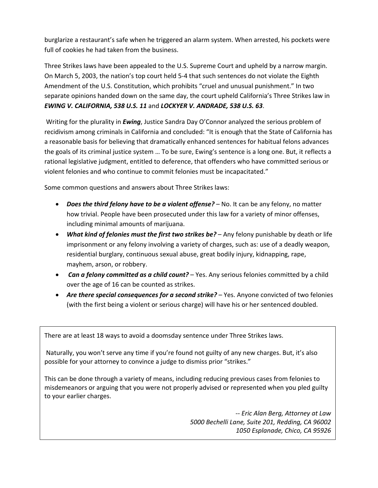burglarize a restaurant's safe when he triggered an alarm system. When arrested, his pockets were full of cookies he had taken from the business.

Three Strikes laws have been appealed to the U.S. Supreme Court and upheld by a narrow margin. On March 5, 2003, the nation's top court held 5‐4 that such sentences do not violate the Eighth Amendment of the U.S. Constitution, which prohibits "cruel and unusual punishment." In two separate opinions handed down on the same day, the court upheld California's Three Strikes law in *EWING V. CALIFORNIA, 538 U.S. 11* and *LOCKYER V. ANDRADE, 538 U.S. 63*.

Writing for the plurality in *Ewing*, Justice Sandra Day O'Connor analyzed the serious problem of recidivism among criminals in California and concluded: "It is enough that the State of California has a reasonable basis for believing that dramatically enhanced sentences for habitual felons advances the goals of its criminal justice system … To be sure, Ewing's sentence is a long one. But, it reflects a rational legislative judgment, entitled to deference, that offenders who have committed serious or violent felonies and who continue to commit felonies must be incapacitated."

Some common questions and answers about Three Strikes laws:

- *Does the third felony have to be a violent offense?* No. It can be any felony, no matter how trivial. People have been prosecuted under this law for a variety of minor offenses, including minimal amounts of marijuana.
- *What kind of felonies must the first two strikes be?* Any felony punishable by death or life imprisonment or any felony involving a variety of charges, such as: use of a deadly weapon, residential burglary, continuous sexual abuse, great bodily injury, kidnapping, rape, mayhem, arson, or robbery.
- *Can a felony committed as a child count?* Yes. Any serious felonies committed by a child over the age of 16 can be counted as strikes.
- *Are there special consequences for a second strike?* Yes. Anyone convicted of two felonies (with the first being a violent or serious charge) will have his or her sentenced doubled.

There are at least 18 ways to avoid a doomsday sentence under Three Strikes laws.

Naturally, you won't serve any time if you're found not guilty of any new charges. But, it's also possible for your attorney to convince a judge to dismiss prior "strikes."

This can be done through a variety of means, including reducing previous cases from felonies to misdemeanors or arguing that you were not properly advised or represented when you pled guilty to your earlier charges.

> *‐‐ Eric Alan Berg, Attorney at Law 5000 Bechelli Lane, Suite 201, Redding, CA 96002 1050 Esplanade, Chico, CA 95926*